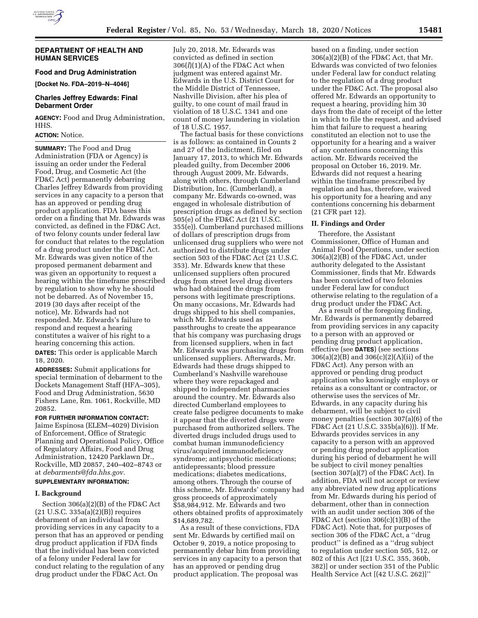

### **DEPARTMENT OF HEALTH AND HUMAN SERVICES**

### **Food and Drug Administration**

**[Docket No. FDA–2019–N–4046]** 

## **Charles Jeffrey Edwards: Final Debarment Order**

**AGENCY:** Food and Drug Administration, HHS.

#### **ACTION:** Notice.

**SUMMARY:** The Food and Drug Administration (FDA or Agency) is issuing an order under the Federal Food, Drug, and Cosmetic Act (the FD&C Act) permanently debarring Charles Jeffrey Edwards from providing services in any capacity to a person that has an approved or pending drug product application. FDA bases this order on a finding that Mr. Edwards was convicted, as defined in the FD&C Act, of two felony counts under federal law for conduct that relates to the regulation of a drug product under the FD&C Act. Mr. Edwards was given notice of the proposed permanent debarment and was given an opportunity to request a hearing within the timeframe prescribed by regulation to show why he should not be debarred. As of November 15, 2019 (30 days after receipt of the notice), Mr. Edwards had not responded. Mr. Edwards's failure to respond and request a hearing constitutes a waiver of his right to a hearing concerning this action.

**DATES:** This order is applicable March 18, 2020.

**ADDRESSES:** Submit applications for special termination of debarment to the Dockets Management Staff (HFA–305), Food and Drug Administration, 5630 Fishers Lane, Rm. 1061, Rockville, MD 20852.

### **FOR FURTHER INFORMATION CONTACT:**

Jaime Espinosa (ELEM–4029) Division of Enforcement, Office of Strategic Planning and Operational Policy, Office of Regulatory Affairs, Food and Drug Administration, 12420 Parklawn Dr., Rockville, MD 20857, 240–402–8743 or at *[debarments@fda.hhs.gov.](mailto:debarments@fda.hhs.gov)* 

# **SUPPLEMENTARY INFORMATION:**

### **I. Background**

Section 306(a)(2)(B) of the FD&C Act (21 U.S.C. 335a(a)(2)(B)) requires debarment of an individual from providing services in any capacity to a person that has an approved or pending drug product application if FDA finds that the individual has been convicted of a felony under Federal law for conduct relating to the regulation of any drug product under the FD&C Act. On

July 20, 2018, Mr. Edwards was convicted as defined in section 306(*l*)(1)(A) of the FD&C Act when judgment was entered against Mr. Edwards in the U.S. District Court for the Middle District of Tennessee, Nashville Division, after his plea of guilty, to one count of mail fraud in violation of 18 U.S.C. 1341 and one count of money laundering in violation of 18 U.S.C. 1957.

The factual basis for these convictions is as follows: as contained in Counts 2 and 27 of the Indictment, filed on January 17, 2013, to which Mr. Edwards pleaded guilty, from December 2006 through August 2009, Mr. Edwards, along with others, through Cumberland Distribution, Inc. (Cumberland), a company Mr. Edwards co-owned, was engaged in wholesale distribution of prescription drugs as defined by section 505(e) of the FD&C Act (21 U.S.C. 355(e)). Cumberland purchased millions of dollars of prescription drugs from unlicensed drug suppliers who were not authorized to distribute drugs under section 503 of the FD&C Act (21 U.S.C. 353). Mr. Edwards knew that these unlicensed suppliers often procured drugs from street level drug diverters who had obtained the drugs from persons with legitimate prescriptions. On many occasions, Mr. Edwards had drugs shipped to his shell companies, which Mr. Edwards used as passthroughs to create the appearance that his company was purchasing drugs from licensed suppliers, when in fact Mr. Edwards was purchasing drugs from unlicensed suppliers. Afterwards, Mr. Edwards had these drugs shipped to Cumberland's Nashville warehouse where they were repackaged and shipped to independent pharmacies around the country. Mr. Edwards also directed Cumberland employees to create false pedigree documents to make it appear that the diverted drugs were purchased from authorized sellers. The diverted drugs included drugs used to combat human immunodeficiency virus/acquired immunodeficiency syndrome; antipsychotic medications; antidepressants; blood pressure medications; diabetes medications, among others. Through the course of this scheme, Mr. Edwards' company had gross proceeds of approximately \$58,984,912. Mr. Edwards and two others obtained profits of approximately \$14,689,782.

As a result of these convictions, FDA sent Mr. Edwards by certified mail on October 9, 2019, a notice proposing to permanently debar him from providing services in any capacity to a person that has an approved or pending drug product application. The proposal was

based on a finding, under section 306(a)(2)(B) of the FD&C Act, that Mr. Edwards was convicted of two felonies under Federal law for conduct relating to the regulation of a drug product under the FD&C Act. The proposal also offered Mr. Edwards an opportunity to request a hearing, providing him 30 days from the date of receipt of the letter in which to file the request, and advised him that failure to request a hearing constituted an election not to use the opportunity for a hearing and a waiver of any contentions concerning this action. Mr. Edwards received the proposal on October 16, 2019. Mr. Edwards did not request a hearing within the timeframe prescribed by regulation and has, therefore, waived his opportunity for a hearing and any contentions concerning his debarment (21 CFR part 12).

### **II. Findings and Order**

Therefore, the Assistant Commissioner, Office of Human and Animal Food Operations, under section 306(a)(2)(B) of the FD&C Act, under authority delegated to the Assistant Commissioner, finds that Mr. Edwards has been convicted of two felonies under Federal law for conduct otherwise relating to the regulation of a drug product under the FD&C Act.

As a result of the foregoing finding, Mr. Edwards is permanently debarred from providing services in any capacity to a person with an approved or pending drug product application, effective (see **DATES**) (see sections 306(a)(2)(B) and 306(c)(2)(A)(ii) of the FD&C Act). Any person with an approved or pending drug product application who knowingly employs or retains as a consultant or contractor, or otherwise uses the services of Mr. Edwards, in any capacity during his debarment, will be subject to civil money penalties (section 307(a)(6) of the FD&C Act (21 U.S.C. 335b(a)(6))). If Mr. Edwards provides services in any capacity to a person with an approved or pending drug product application during his period of debarment he will be subject to civil money penalties (section 307(a)(7) of the FD&C Act). In addition, FDA will not accept or review any abbreviated new drug applications from Mr. Edwards during his period of debarment, other than in connection with an audit under section 306 of the FD&C Act (section 306(c)(1)(B) of the FD&C Act). Note that, for purposes of section 306 of the FD&C Act, a ''drug product'' is defined as a ''drug subject to regulation under section 505, 512, or 802 of this Act [(21 U.S.C. 355, 360b, 382)] or under section 351 of the Public Health Service Act [(42 U.S.C. 262)]''